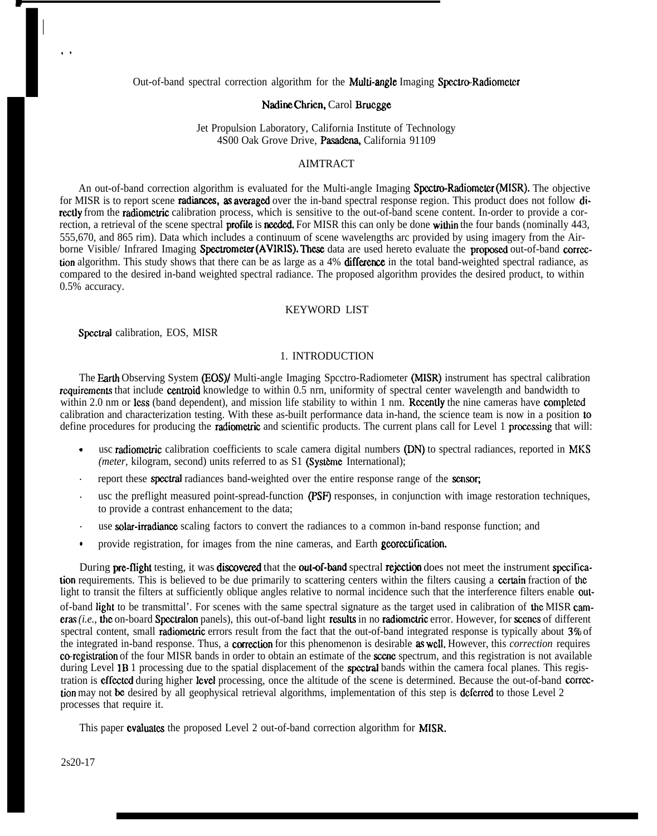Out-of-band spectral correction algorithm for the **Multi-angle** Imaging Spectro-Radiometer

#### Nadine Chrien, Carol Bruegge

Jet Propulsion Laboratory, California Institute of Technology 4S00 Oak Grove Drive, Pasadena, California 91109

# AIMTRACT

An out-of-band correction algorithm is evaluated for the Multi-angle Imaging Spectro-Radiometer (MISR). The objective for MISR is to report scene **radiances, as averaged** over the in-band spectral response region. This product does not follow directly from the radiometric calibration process, which is sensitive to the out-of-band scene content. In-order to provide a correction, a retrieval of the scene spectral **profile** is **needed**. For MISR this can only be done within the four bands (nominally 443, 555,670, and 865 rim). Data which includes a continuum of scene wavelengths arc provided by using imagery from the Airborne Visible/ Infrared Imaging Spectrometer (AVIRIS). These data are used hereto evaluate the proposed out-of-band correction algorithm. This study shows that there can be as large as a 4% difference in the total band-weighted spectral radiance, as compared to the desired in-band weighted spectral radiance. The proposed algorithm provides the desired product, to within 0.5% accuracy.

#### KEYWORD LIST

Spectrat calibration, EOS, MISR

I

.

.,

## 1. INTRODUCTION

The Earth Observing System (EOS)/ Multi-angle Imaging Spcctro-Radiometer (MISR) instrument has spectral calibration rcquircmcnts that include centroid knowledge to within 0.5 nrn, uniformity of spectral center wavelength and bandwidth to within 2.0 nm or less (band dependent), and mission life stability to within 1 nm. Recently the nine cameras have completed calibration and characterization testing. With these as-built performance data in-hand, the science team is now in a position to define procedures for producing the **radiometric** and scientific products. The current plans call for Level 1 processing that will:

- usc radiometric calibration coefficients to scale camera digital numbers (DN) to spectral radiances, reported in MKS *(meter, kilogram, second)* units referred to as S1 (Système International);
- report these spectral radiances band-weighted over the entire response range of the scnsor;
- usc the preflight measured point-spread-function (PSF) responses, in conjunction with image restoration techniques, to provide a contrast enhancement to the data;
- use **solar-irradiance** scaling factors to convert the radiances to a common in-band response function; and
- provide registration, for images from the nine cameras, and Earth georectification.

During pre-flight testing, it was discovered that the out-of-band spectral rejection does not meet the instrument specification requirements. This is believed to be due primarily to scattering centers within the filters causing a certain fraction of the light to transit the filters at sufficiently oblique angles relative to normal incidence such that the interference filters enable outof-band light to be transmittal'. For scenes with the same spectral signature as the target used in calibration of the MISR cameras (i.e., the on-board Spectralon panels), this out-of-band light results in no radiometric error. However, for scenes of different spectral content, small radiometric errors result from the fact that the out-of-band integrated response is typically about 3% of the integrated in-band response. Thus, a **correction** for this phenomenon is desirable **as well**, However, this *correction* requires co-registration of the four MISR bands in order to obtain an estimate of the scene spectrum, and this registration is not available during Level 1B 1 processing due to the spatial displacement of the **spectral** bands within the camera focal planes. This registration is effected during higher level processing, once the altitude of the scene is determined. Because the out-of-band correction may not be desired by all geophysical retrieval algorithms, implementation of this step is deferred to those Level 2 processes that require it.

This paper evaluates the proposed Level 2 out-of-band correction algorithm for MISR.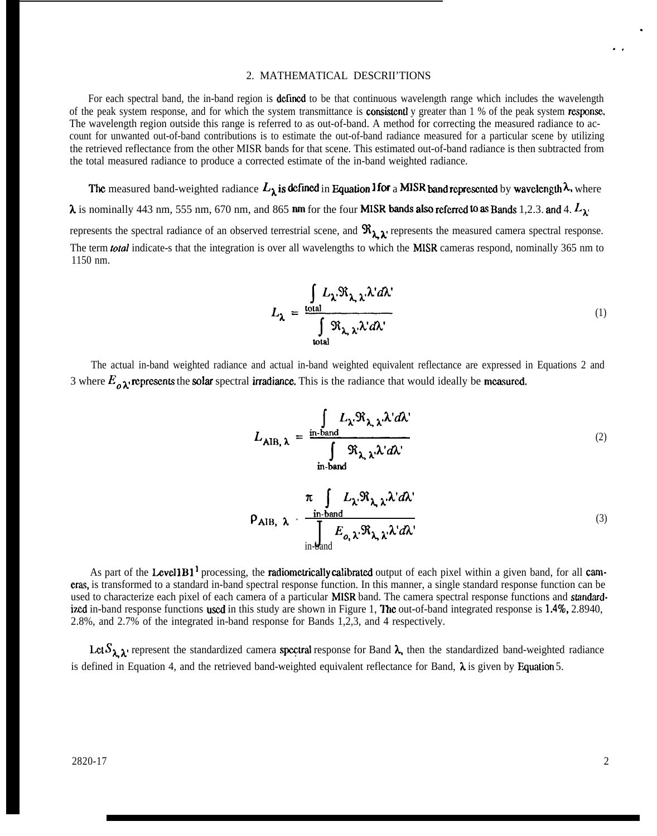#### 2. MATHEMATICAL DESCRII'TIONS

For each spectral band, the in-band region is defined to be that continuous wavelength range which includes the wavelength of the peak system response, and for which the system transmittance is **consistentl** y greater than  $1\%$  of the peak system **response**. The wavelength region outside this range is referred to as out-of-band. A method for correcting the measured radiance to account for unwanted out-of-band contributions is to estimate the out-of-band radiance measured for a particular scene by utilizing the retrieved reflectance from the other MISR bands for that scene. This estimated out-of-band radiance is then subtracted from the total measured radiance to produce a corrected estimate of the in-band weighted radiance.

The measured band-weighted radiance  $L_\lambda$  is defined in Equation I for a MISR band represented by wavelength  $\lambda$ . where  $\lambda$  is nominally 443 nm, 555 nm, 670 nm, and 865 nm for the four **MISR** bands also referred to as Bands 1,2.3. and 4.  $L_{\lambda}$ represents the spectral radiance of an observed terrestrial scene, and  $\Re_{\lambda}$  represents the measured camera spectral response. The term **total** indicate-s that the integration is over all wavelengths to which the MISR cameras respond, nominally 365 nm to 1150 nm.

$$
L_{\lambda} = \frac{\int_{\text{total}} L_{\lambda} \Re_{\lambda, \lambda} \lambda' d\lambda'}{\int_{\text{total}} \Re_{\lambda, \lambda} \lambda' d\lambda'}
$$
 (1)

The actual in-band weighted radiance and actual in-band weighted equivalent reflectance are expressed in Equations 2 and 3 where  $E_{\rho}$ <sub> $\lambda$ </sub> represents the solar spectral irradiance. This is the radiance that would ideally be measured.

$$
L_{\text{AIB}, \lambda} = \frac{\int_{\text{in-band}} L_{\lambda} \Re_{\lambda, \lambda} \lambda' d\lambda'}{\int_{\text{in-band}} \Re_{\lambda, \lambda} \lambda' d\lambda'}
$$
 (2)

$$
\rho_{\text{AIB, }\lambda} = \frac{\pi \int_{\text{in-band}} L_{\lambda} \Re_{\lambda, \lambda'} \lambda' d\lambda'}{\int_{\text{in-band}} E_{o, \lambda'} \Re_{\lambda, \lambda'} \lambda' d\lambda'}
$$
\n(3)

As part of the Level 1B<sup>1</sup> processing, the radiometrically calibrated output of each pixel within a given band, for all cameras, is transformed to a standard in-band spectral response function. In this manner, a single standard response function can be used to characterize each pixel of each camera of a particular MISR band. The camera spectral response functions and standardized in-band response functions used in this study are shown in Figure 1, The out-of-band integrated response is 1.4%, 2.8940, 2.8%, and 2.7% of the integrated in-band response for Bands 1,2,3, and 4 respectively.

Let  $S_{\lambda, \lambda}$  represent the standardized camera spectral response for Band  $\lambda$ , then the standardized band-weighted radiance is defined in Equation 4, and the retrieved band-weighted equivalent reflectance for Band,  $\lambda$  is given by Equation 5.

.

.,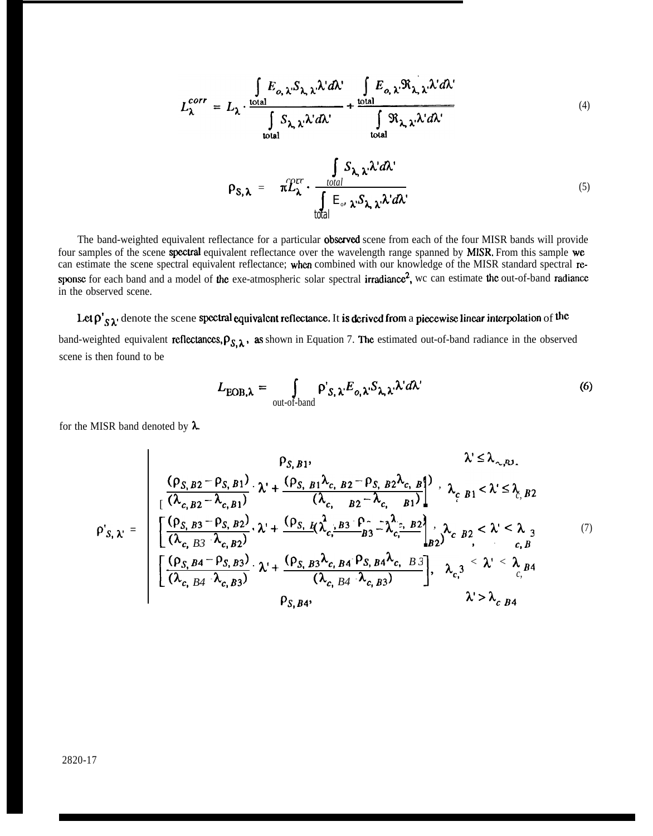$$
L_{\lambda}^{corr} = L_{\lambda} \cdot \frac{\int_{\text{total}} E_{o,\lambda} \cdot S_{\lambda,\lambda} \cdot d\lambda'}{\int_{\text{total}} S_{\lambda,\lambda} \cdot \lambda' d\lambda'} + \frac{\int_{\text{total}} E_{o,\lambda} \cdot \Re_{\lambda,\lambda} \cdot \lambda' d\lambda'}{\int_{\text{total}} \Re_{\lambda,\lambda} \cdot \lambda' d\lambda'}
$$
(4)

$$
\rho_{S,\lambda} = \pi \mathcal{L}_{\lambda}^{err} \cdot \frac{\int_{total} S_{\lambda,\lambda} \cdot \lambda' d\lambda'}{\int_{total} E_{\delta} \cdot \lambda \cdot S_{\lambda,\lambda} \cdot \lambda' d\lambda'} \tag{5}
$$

The band-weighted equivalent reflectance for a particular **observed** scene from each of the four MISR bands will provide four samples of the scene **spectral** equivalent reflectance over the wavelength range spanned by **MISR**. From this sample we can estimate the scene spectral equivalent reflectance; when combined with our knowledge of the MISR standard spectral response for each band and a model of the exe-atmospheric solar spectral irradiance<sup>2</sup>, wc can estimate the out-of-band radiance in the observed scene.

# Let  $\rho'_{S\lambda}$  denote the scene spectral equivalent reflectance. It is derived from a piecewise linear interpolation of the

band-weighted equivalent reflectances,  $\rho_{S, \lambda}$ , as shown in Equation 7. The estimated out-of-band radiance in the observed scene is then found to be

$$
L_{\text{EOB},\lambda} = \int_{\text{out-of-band}} \rho_{S,\lambda'} E_{o,\lambda'} S_{\lambda,\lambda'} \lambda' d\lambda'
$$
 (6)

for the MISR band denoted by  $\lambda$ .

$$
\rho_{S,B1}, \qquad \lambda \leq \lambda_{\sim, P,J}.
$$
\n
$$
\rho_{S,B2} - \rho_{S,B1}) \cdot \lambda + \frac{(\rho_{S,B1}\lambda_{c,B2} - \rho_{S,B2}\lambda_{c,B1})}{(\lambda_{c,B2} - \lambda_{c,B1})} \cdot \lambda_{c,B1} < \lambda \leq \lambda_{c,B2}
$$
\n
$$
\rho_{S,\lambda'} = \begin{bmatrix}\n\frac{(\rho_{S,B3} - \rho_{S,B2})}{(\lambda_{c,B3} - \lambda_{c,B2})} \cdot \lambda + \frac{(\rho_{S,B1}\lambda_{c,B3} - \rho_{c,B2})}{(\lambda_{c,B3} - \lambda_{c,B2})} \cdot \lambda_{c,B2} < \lambda_{c,B3} \\
\frac{(\rho_{S,B4} - \rho_{S,B2})}{(\lambda_{c,B3} - \lambda_{c,B3})} \cdot \lambda + \frac{(\rho_{S,B3}\lambda_{c,B4} - \rho_{S,B4}\lambda_{c,B3})}{(\lambda_{c,B4} - \lambda_{c,B3})}\n\end{bmatrix}, \lambda_{c,3} < \lambda' < \lambda_{B4} \\
\frac{(\lambda_{c,B4} - \lambda_{c,B3})}{(\lambda_{c,B4} - \lambda_{c,B3})} \cdot \lambda_{c,B4}, \lambda_{c,B5} > \lambda_{c,B4}
$$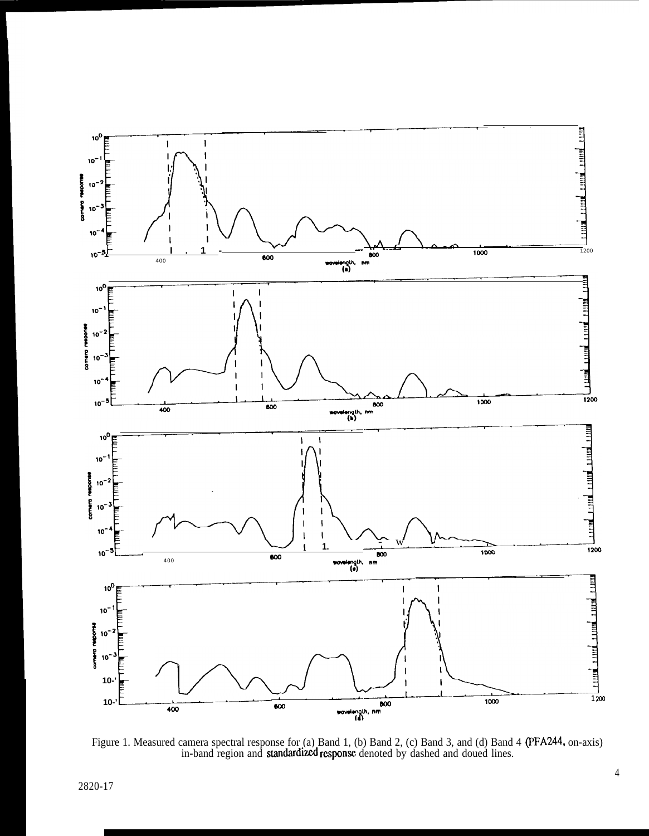

Figure 1. Measured camera spectral response for (a) Band 1, (b) Band 2, (c) Band 3, and (d) Band 4 (PFA244, on-axis) in-band region and **standardized response** denoted by dashed and doued lines.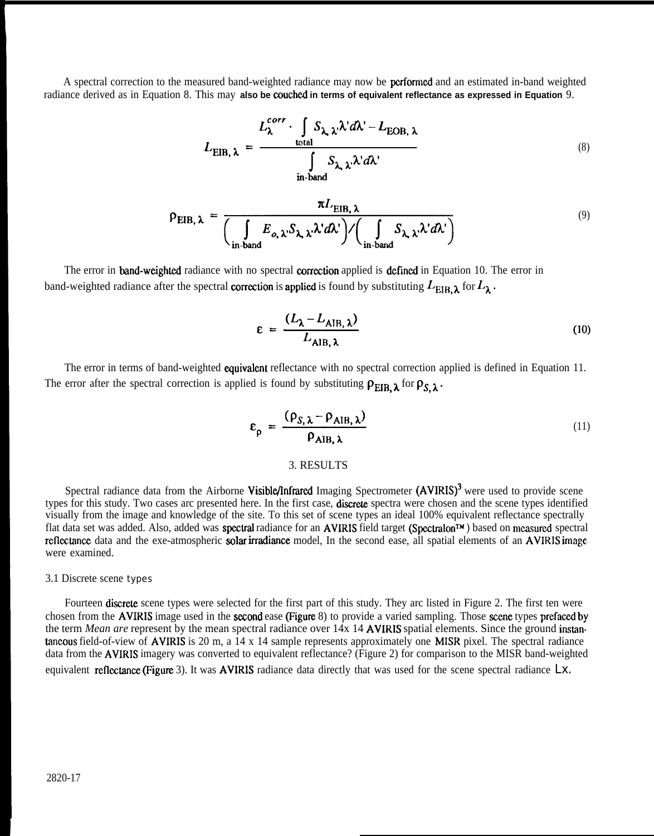A spectral correction to the measured band-weighted radiance may now be perfommd and an estimated in-band weighted radiance derived as in Equation 8. This may **also be eouchcd in terms of equivalent reflectance as expressed in Equation** 9.

$$
L_{\text{EIB}, \lambda} = \frac{L_{\lambda}^{corr} \cdot \int_{\text{total}} S_{\lambda, \lambda} \cdot \lambda' d\lambda' - L_{\text{EOB}, \lambda}}{\int_{\text{in-band}} S_{\lambda, \lambda} \cdot \lambda' d\lambda'}
$$
 (8)

$$
\rho_{EIB, \lambda} = \frac{\pi L_{EIB, \lambda}}{\left(\int_{\text{in-band}} E_{o, \lambda} S_{\lambda, \lambda} \lambda' d\lambda'\right) / \left(\int_{\text{in-band}} S_{\lambda, \lambda} \lambda' d\lambda'\right)}
$$
(9)

The error in **band-weighted** radiance with no spectral **correction** applied is **defined** in Equation 10. The error in band-weighted radiance after the spectral correction is applied is found by substituting  $L_{\text{EIB}, \lambda}$  for  $L_{\lambda}$ .

$$
\varepsilon = \frac{(L_{\lambda} - L_{\text{AIB}, \lambda})}{L_{\text{AIB}, \lambda}}
$$
(10)

The error in terms of band-weighted **equivalent** reflectance with no spectral correction applied is defined in Equation 11. The error after the spectral correction is applied is found by substituting  $\rho_{EIB, \lambda}$  for  $\rho_{S, \lambda}$ .

$$
\varepsilon_{\mathsf{p}} = \frac{(\rho_{\mathsf{S},\lambda} - \rho_{\mathsf{AIB},\lambda})}{\rho_{\mathsf{AIB},\lambda}}
$$
(11)  
3. RESULTS

Spectral radiance data from the Airborne Visible/Infrared Imaging Spectrometer (AVIRIS)<sup>3</sup> were used to provide scene types for this study. Two cases arc presented here. In the first case, **discrete** spectra were chosen and the scene types identified visually from the image and knowledge of the site. To this set of scene types an ideal 100% equivalent reflectance spectrally flat data set was added. Also, added was **spectral** radiance for an **AVIRIS** field target (Spectralon™) based on measured spectral reflectance data and the exe-atmospheric solar irradiance model. In the second ease, all spatial elements of an AVIRIS image. were examined.

#### 3.1 Discrete scene types

Fourteen discrete scene types were selected for the first part of this study. They arc listed in Figure 2. The first ten were chosen from the AVIRIS image used in the second ease (Figure 8) to provide a varied sampling. Those scene types prefaced by the term *Mean are* represent by the mean spectral radiance over 14x 14 AVIRIS spatial elements. Since the ground instan taneous field-of-view of AVIRIS is 20 m, a 14 x 14 sample represents approximately one MISR pixel. The spectral radiance data from the AVIRIS imagery was converted to equivalent reflectance? (Figure 2) for comparison to the MISR band-weighted equivalent reflectance (Figure 3). It was **AVIRIS** radiance data directly that was used for the scene spectral radiance  $Lx$ .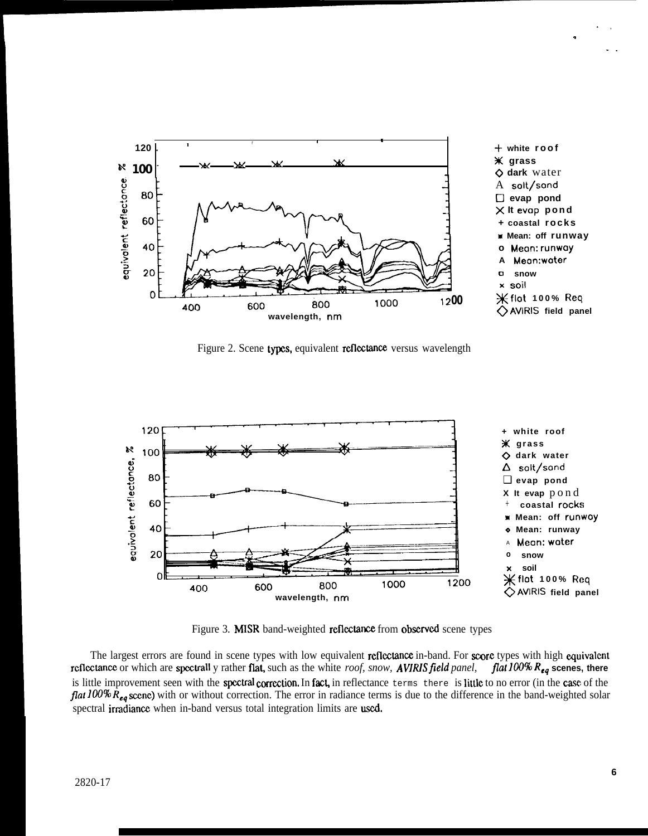

Figure 2. Scene types, equivalent reflectance versus wavelength



Figure 3. MISR band-weighted reflectance from observed scene types

The largest errors are found in scene types with low equivalent reflectance in-band. For score types with high equivalent rcflectance or which are spectrall y rather flat, such as the white *roof, snow, AVIRIS field panel, flat*  $100\%$   $R_{eq}$  scenes, there is little improvement seen with the spectral correction. In fact, in reflectance terms there is little to no error (in the case of the flat 100%  $\bar{R}_{eq}$  scene) with or without correction. The error in radiance terms is due to the difference in the band-weighted solar spectral irradiance when in-band versus total integration limits are used.

.,

-.

.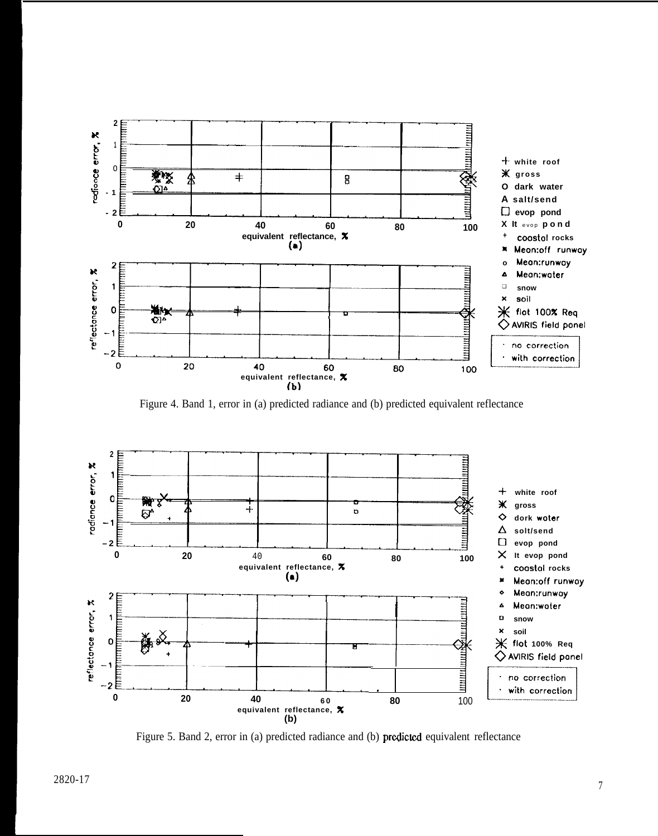

Figure 4. Band 1, error in (a) predicted radiance and (b) predicted equivalent reflectance



Figure 5. Band 2, error in (a) predicted radiance and (b) predicted equivalent reflectance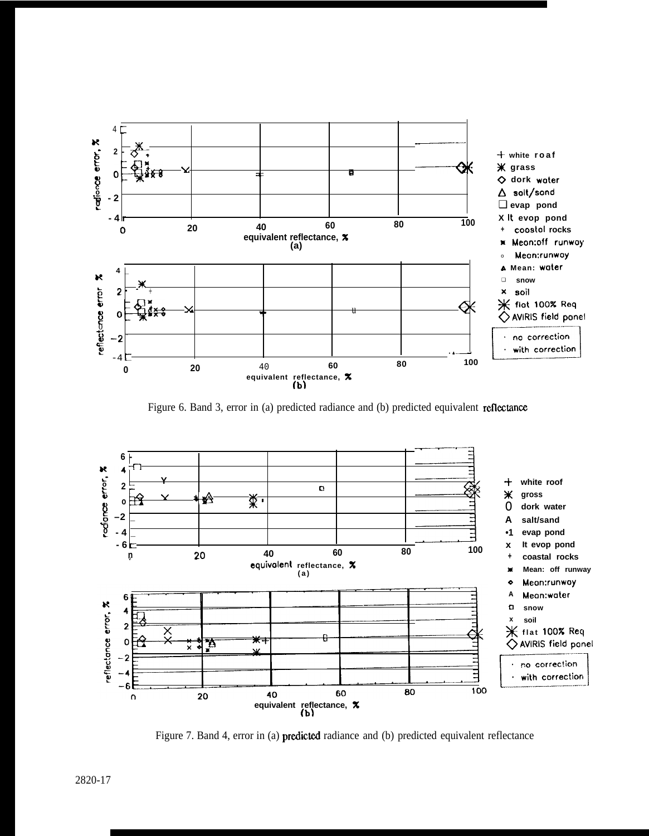

Figure 6. Band 3, error in (a) predicted radiance and (b) predicted equivalent reflectance



Figure 7. Band 4, error in (a) predicted radiance and (b) predicted equivalent reflectance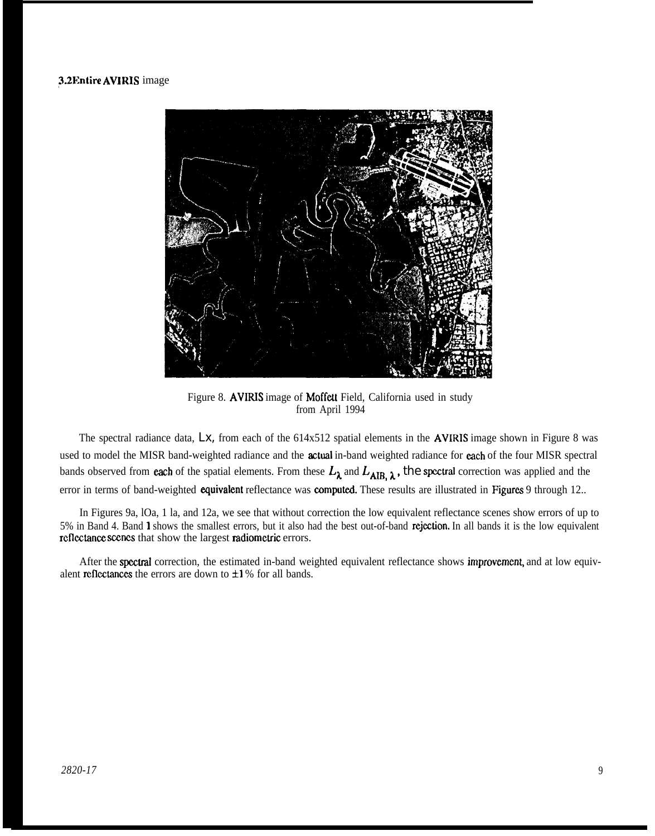# 3.2Entire AVIRIS image



Figure 8. AVIRIS image of Moffett Field, California used in study from April 1994

The spectral radiance data, *Lx,* from each of the 614x512 spatial elements in the AVIRIS image shown in Figure 8 was used to model the MISR band-weighted radiance and the **actual** in-band weighted radiance for each of the four MISR spectral bands observed from each of the spatial elements. From these  $L_{\lambda}$  and  $L_{AIB, \lambda}$ , the spectral correction was applied and the error in terms of band-weighted equivalent reflectance was computed. These results are illustrated in Figures 9 through 12..

In Figures 9a, lOa, 1 la, and 12a, we see that without correction the low equivalent reflectance scenes show errors of up to 5% in Band 4. Band 1 shows the smallest errors, but it also had the best out-of-band rejeetion. In all bands it is the low equivalent reflectance scenes that show the largest radiometric errors.

After the spectral correction, the estimated in-band weighted equivalent reflectance shows improvement, and at low equivalent reflectances the errors are down to  $\pm 1$  % for all bands.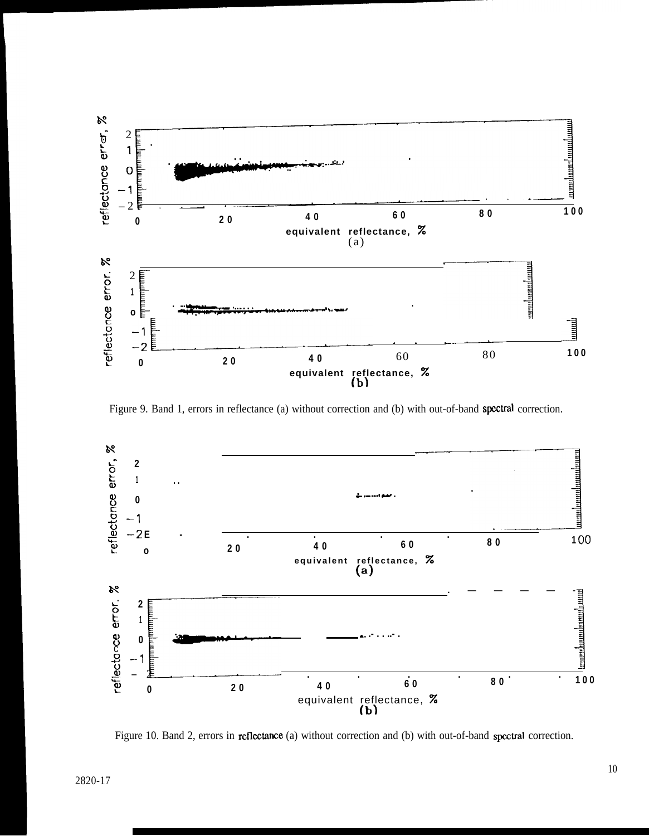

Figure 9. Band 1, errors in reflectance (a) without correction and (b) with out-of-band spectral correction.



Figure 10. Band 2, errors in reflectance (a) without correction and (b) with out-of-band spectral correction.

I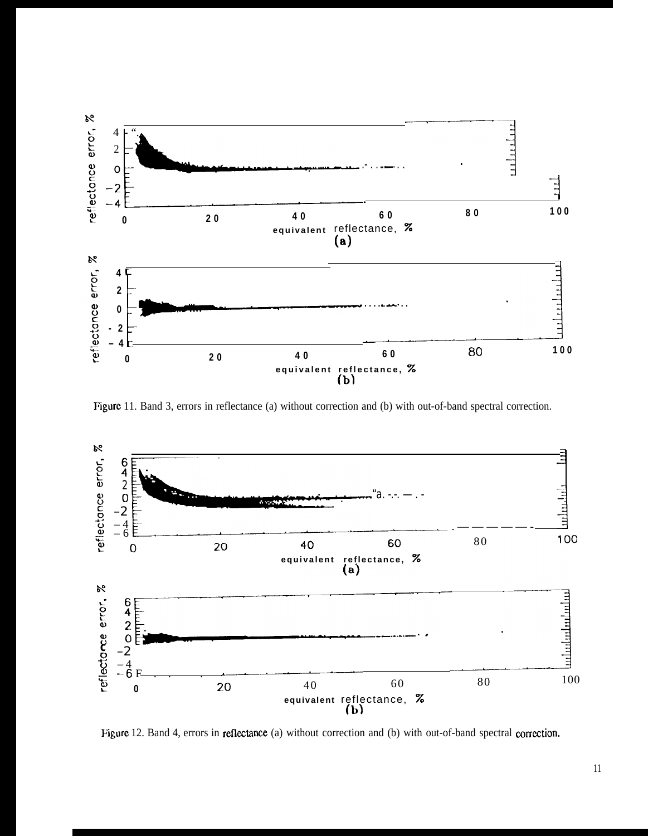

Figure 11. Band 3, errors in reflectance (a) without correction and (b) with out-of-band spectral correction.



Figure 12. Band 4, errors in reflectance (a) without correction and (b) with out-of-band spectral correction.